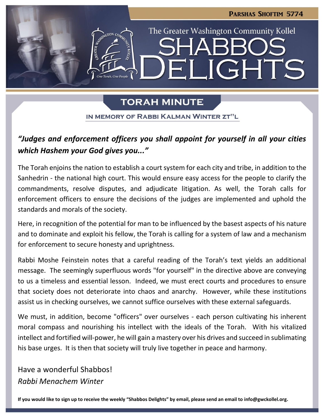

## **TORAH MINUTE**

IN MEMORY OF RABBI KALMAN WINTER ZT"L

## *"Judges and enforcement officers you shall appoint for yourself in all your cities which Hashem your God gives you..."*

The Torah enjoins the nation to establish a court system for each city and tribe, in addition to the Sanhedrin - the national high court. This would ensure easy access for the people to clarify the commandments, resolve disputes, and adjudicate litigation. As well, the Torah calls for enforcement officers to ensure the decisions of the judges are implemented and uphold the standards and morals of the society.

Here, in recognition of the potential for man to be influenced by the basest aspects of his nature and to dominate and exploit his fellow, the Torah is calling for a system of law and a mechanism for enforcement to secure honesty and uprightness.

Rabbi Moshe Feinstein notes that a careful reading of the Torah's text yields an additional message. The seemingly superfluous words "for yourself" in the directive above are conveying to us a timeless and essential lesson. Indeed, we must erect courts and procedures to ensure that society does not deteriorate into chaos and anarchy. However, while these institutions assist us in checking ourselves, we cannot suffice ourselves with these external safeguards.

We must, in addition, become "officers" over ourselves - each person cultivating his inherent moral compass and nourishing his intellect with the ideals of the Torah. With his vitalized intellect and fortified will-power, he will gain a mastery over his drives and succeed in sublimating his base urges. It is then that society will truly live together in peace and harmony.

Have a wonderful Shabbos! *Rabbi Menachem Winter*

**If you would like to sign up to receive the weekly "Shabbos Delights" by email, please send an email to [info@gwckollel.org.](mailto:info@gwckollel.org)**